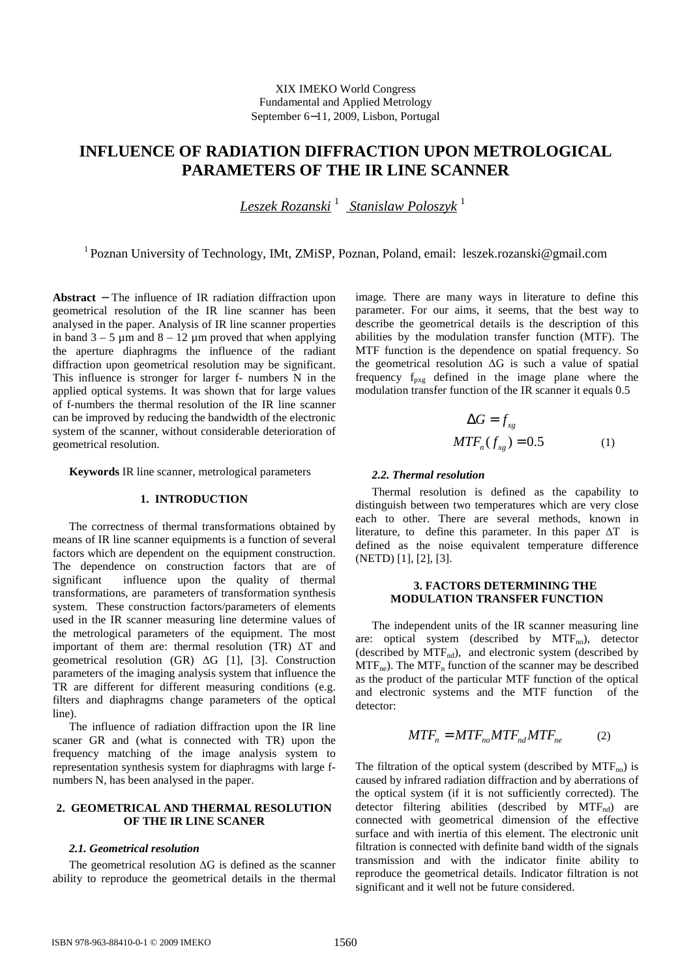# XIX IMEKO World Congress Fundamental and Applied Metrology September 6−11, 2009, Lisbon, Portugal

# **INFLUENCE OF RADIATION DIFFRACTION UPON METROLOGICAL PARAMETERS OF THE IR LINE SCANNER**

 *Leszek Rozanski* <sup>1</sup>  *Stanislaw Poloszyk* <sup>1</sup>

<sup>1</sup> Poznan University of Technology, IMt, ZMiSP, Poznan, Poland, email: leszek.rozanski@gmail.com

**Abstract** − The influence of IR radiation diffraction upon geometrical resolution of the IR line scanner has been analysed in the paper. Analysis of IR line scanner properties in band  $3 - 5 \mu m$  and  $8 - 12 \mu m$  proved that when applying the aperture diaphragms the influence of the radiant diffraction upon geometrical resolution may be significant. This influence is stronger for larger f- numbers N in the applied optical systems. It was shown that for large values of f-numbers the thermal resolution of the IR line scanner can be improved by reducing the bandwidth of the electronic system of the scanner, without considerable deterioration of geometrical resolution.

**Keywords** IR line scanner, metrological parameters

#### **1. INTRODUCTION**

The correctness of thermal transformations obtained by means of IR line scanner equipments is a function of several factors which are dependent on the equipment construction. The dependence on construction factors that are of significant influence upon the quality of thermal transformations, are parameters of transformation synthesis system. These construction factors/parameters of elements used in the IR scanner measuring line determine values of the metrological parameters of the equipment. The most important of them are: thermal resolution (TR) ∆T and geometrical resolution (GR) ∆G [1], [3]. Construction parameters of the imaging analysis system that influence the TR are different for different measuring conditions (e.g. filters and diaphragms change parameters of the optical line).

The influence of radiation diffraction upon the IR line scaner GR and (what is connected with TR) upon the frequency matching of the image analysis system to representation synthesis system for diaphragms with large fnumbers N, has been analysed in the paper.

# **2. GEOMETRICAL AND THERMAL RESOLUTION OF THE IR LINE SCANER**

# *2.1. Geometrical resolution*

The geometrical resolution ∆G is defined as the scanner ability to reproduce the geometrical details in the thermal image. There are many ways in literature to define this parameter. For our aims, it seems, that the best way to describe the geometrical details is the description of this abilities by the modulation transfer function (MTF). The MTF function is the dependence on spatial frequency. So the geometrical resolution ∆G is such a value of spatial frequency  $f_{\text{pxg}}$  defined in the image plane where the modulation transfer function of the IR scanner it equals 0.5

$$
\Delta G = f_{xg}
$$
  

$$
MTF_n(f_{xg}) = 0.5
$$
 (1)

#### *2.2. Thermal resolution*

Thermal resolution is defined as the capability to distinguish between two temperatures which are very close each to other. There are several methods, known in literature, to define this parameter. In this paper ∆T is defined as the noise equivalent temperature difference (NETD) [1], [2], [3].

## **3. FACTORS DETERMINING THE MODULATION TRANSFER FUNCTION**

The independent units of the IR scanner measuring line are: optical system (described by  $MTF_{no}$ ), detector (described by  $MTF_{nd}$ ), and electronic system (described by  $MTF_{ne}$ ). The  $MTF_n$  function of the scanner may be described as the product of the particular MTF function of the optical and electronic systems and the MTF function of the detector:

$$
MTF_n = MTF_{no} MTF_{nd} MTF_{ne} \tag{2}
$$

The filtration of the optical system (described by  $MTF_{no}$ ) is caused by infrared radiation diffraction and by aberrations of the optical system (if it is not sufficiently corrected). The detector filtering abilities (described by  $MTF_{nd}$ ) are connected with geometrical dimension of the effective surface and with inertia of this element. The electronic unit filtration is connected with definite band width of the signals transmission and with the indicator finite ability to reproduce the geometrical details. Indicator filtration is not significant and it well not be future considered.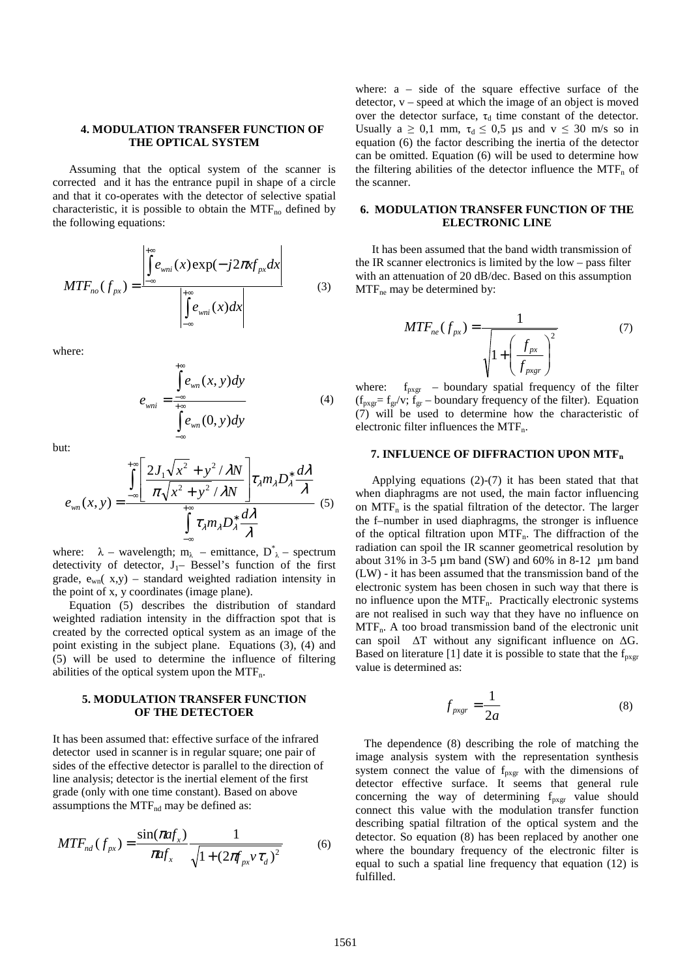## **4. MODULATION TRANSFER FUNCTION OF THE OPTICAL SYSTEM**

Assuming that the optical system of the scanner is corrected and it has the entrance pupil in shape of a circle and that it co-operates with the detector of selective spatial characteristic, it is possible to obtain the  $MTF_{no}$  defined by the following equations:

$$
MTF_{no}(f_{px}) = \frac{\left| \int_{-\infty}^{+\infty} e_{wni}(x) \exp(-j2\pi x f_{px} dx) \right|}{\left| \int_{-\infty}^{+\infty} e_{wni}(x) dx \right|}
$$
(3)

where:

$$
e_{\text{uni}} = \frac{\int_{-\infty}^{+\infty} e_{\text{v}}(x, y) dy}{\int_{-\infty}^{+\infty} e_{\text{v}}(0, y) dy}
$$
(4)

but:

$$
e_{wn}(x, y) = \frac{\int_{-\infty}^{+\infty} \left[ \frac{2J_1\sqrt{x^2} + y^2/\lambda N}{\pi\sqrt{x^2 + y^2}/\lambda N} \right] \tau_{\lambda} m_{\lambda} D_{\lambda}^* \frac{d\lambda}{\lambda}}{\int_{-\infty}^{+\infty} \tau_{\lambda} m_{\lambda} D_{\lambda}^* \frac{d\lambda}{\lambda}}
$$
(5)

where:  $\lambda$  – wavelength; m<sub> $\lambda$ </sub> – emittance, D<sup>\*</sup><sub> $\lambda$ </sub> – spectrum detectivity of detector,  $J_1$ – Bessel's function of the first grade,  $e_{wn}(x,y)$  – standard weighted radiation intensity in the point of x, y coordinates (image plane).

Equation (5) describes the distribution of standard weighted radiation intensity in the diffraction spot that is created by the corrected optical system as an image of the point existing in the subject plane. Equations (3), (4) and (5) will be used to determine the influence of filtering abilities of the optical system upon the  $MTF_n$ .

#### **5. MODULATION TRANSFER FUNCTION OF THE DETECTOER**

It has been assumed that: effective surface of the infrared detector used in scanner is in regular square; one pair of sides of the effective detector is parallel to the direction of line analysis; detector is the inertial element of the first grade (only with one time constant). Based on above assumptions the MTF<sub>nd</sub> may be defined as:

$$
MTF_{nd}(f_{px}) = \frac{\sin(\pi af_x)}{\pi af_x} \frac{1}{\sqrt{1 + (2\pi f_{px}v\tau_d)^2}}
$$
(6)

where:  $a - side$  of the square effective surface of the detector,  $v$  – speed at which the image of an object is moved over the detector surface,  $\tau_d$  time constant of the detector. Usually  $a \ge 0,1$  mm,  $\tau_d \le 0,5$  us and  $v \le 30$  m/s so in equation (6) the factor describing the inertia of the detector can be omitted. Equation (6) will be used to determine how the filtering abilities of the detector influence the  $MTF_n$  of the scanner.

# **6. MODULATION TRANSFER FUNCTION OF THE ELECTRONIC LINE**

It has been assumed that the band width transmission of the IR scanner electronics is limited by the low – pass filter with an attenuation of 20 dB/dec. Based on this assumption  $MTF_{\text{ne}}$  may be determined by:

$$
MTF_{ne}(f_{px}) = \frac{1}{\sqrt{1 + \left(\frac{f_{px}}{f_{pxgr}}\right)^2}}
$$
(7)

where:  $f_{p x g r}$  – boundary spatial frequency of the filter  $(f_{pxgr}= f_{gr}/v; f_{gr} - boundary frequency of the filter)$ . Equation (7) will be used to determine how the characteristic of electronic filter influences the MTF<sub>n</sub>.

# **7. INFLUENCE OF DIFFRACTION UPON MTF<sup>n</sup>**

 Applying equations (2)-(7) it has been stated that that when diaphragms are not used, the main factor influencing on  $MTF_n$  is the spatial filtration of the detector. The larger the f–number in used diaphragms, the stronger is influence of the optical filtration upon  $MTF_n$ . The diffraction of the radiation can spoil the IR scanner geometrical resolution by about 31% in 3-5 µm band (SW) and 60% in 8-12 µm band (LW) - it has been assumed that the transmission band of the electronic system has been chosen in such way that there is no influence upon the  $MTF_n$ . Practically electronic systems are not realised in such way that they have no influence on  $MTF_n$ . A too broad transmission band of the electronic unit can spoil ∆T without any significant influence on ∆G. Based on literature [1] date it is possible to state that the  $f_{p_{X}qr}$ value is determined as:

$$
f_{p x g r} = \frac{1}{2a} \tag{8}
$$

 The dependence (8) describing the role of matching the image analysis system with the representation synthesis system connect the value of  $f_{pxgr}$  with the dimensions of detector effective surface. It seems that general rule concerning the way of determining  $f_{p x g r}$  value should connect this value with the modulation transfer function describing spatial filtration of the optical system and the detector. So equation (8) has been replaced by another one where the boundary frequency of the electronic filter is equal to such a spatial line frequency that equation (12) is fulfilled.